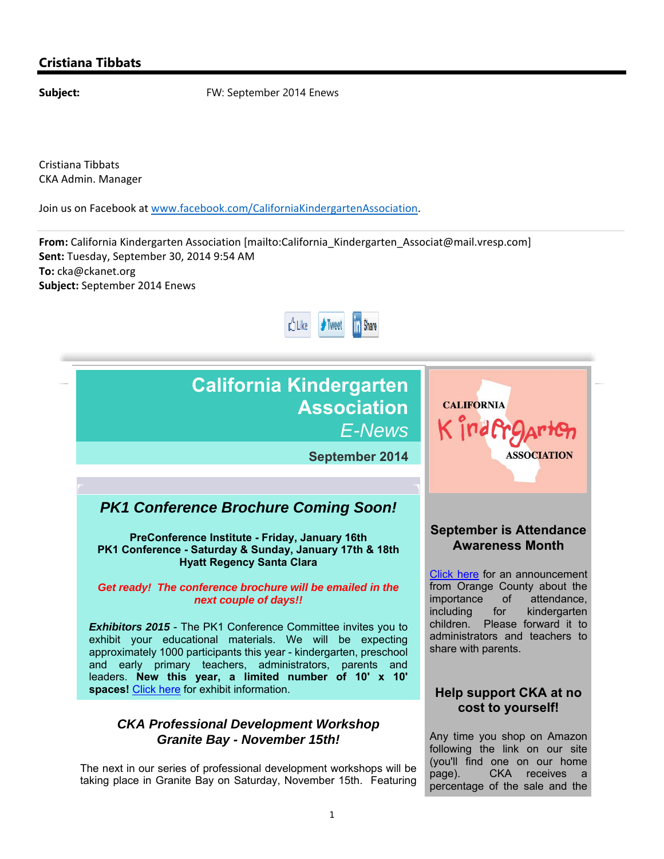## **California Kindergarten Association** *E-News*

**September 2014**

## *PK1 Conference Brochure Coming Soon!*

**PreConference Institute - Friday, January 16th PK1 Conference - Saturday & Sunday, January 17th & 18th Hyatt Regency Santa Clara**

#### *Get ready! The conference brochure will be emailed in the next couple of days!!*

**Exhibitors 2015** - The PK1 Conference Committee invites you to exhibit your educational materials. We will be expecting approximately 1000 participants this year - kindergarten, preschool and early primary teachers, administrators, parents and leaders. **New this year, a limited number of 10' x 10' spaces!** Click here for exhibit information.

#### *CKA Professional Development Workshop Granite Bay - November 15th!*

The next in our series of professional development workshops will be taking place in Granite Bay on Saturday, November 15th. Featuring

## **September is Attendance Awareness Month**

**ASSOCIATION** 

**CALIFORNIA** 

Kindfra

Click here for an announcement from Orange County about the importance of attendance, including for kindergarten children. Please forward it to administrators and teachers to share with parents.

### **Help support CKA at no cost to yourself!**

Any time you shop on Amazon following the link on our site (you'll find one on our home page). CKA receives a percentage of the sale and the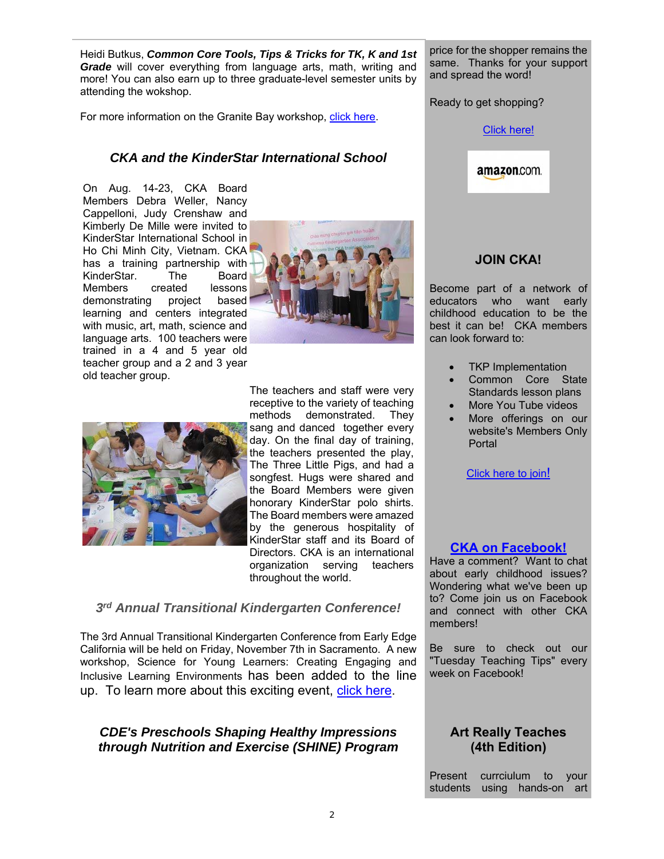Heidi Butkus, *Common Core Tools, Tips & Tricks for TK, K and 1st Grade* will cover everything from language arts, math, writing and more! You can also earn up to three graduate-level semester units by attending the wokshop.

For more information on the Granite Bay workshop, click here.

### *CKA and the KinderStar International School*

On Aug. 14-23, CKA Board Members Debra Weller, Nancy Cappelloni, Judy Crenshaw and Kimberly De Mille were invited to KinderStar International School in Ho Chi Minh City, Vietnam. CKA has a training partnership with KinderStar. The Board Members created lessons demonstrating project based learning and centers integrated with music, art, math, science and language arts. 100 teachers were trained in a 4 and 5 year old teacher group and a 2 and 3 year old teacher group.





The teachers and staff were very receptive to the variety of teaching methods demonstrated. They sang and danced together every day. On the final day of training, the teachers presented the play, The Three Little Pigs, and had a songfest. Hugs were shared and the Board Members were given honorary KinderStar polo shirts. The Board members were amazed by the generous hospitality of KinderStar staff and its Board of Directors. CKA is an international organization serving teachers throughout the world.

#### *3rd Annual Transitional Kindergarten Conference!*

The 3rd Annual Transitional Kindergarten Conference from Early Edge California will be held on Friday, November 7th in Sacramento. A new workshop, Science for Young Learners: Creating Engaging and Inclusive Learning Environments has been added to the line up. To learn more about this exciting event, click here.

#### *CDE's Preschools Shaping Healthy Impressions through Nutrition and Exercise (SHINE) Program*

price for the shopper remains the same. Thanks for your support and spread the word!

Ready to get shopping?

#### Click here!

# amazon.com.

#### **JOIN CKA!**

Become part of a network of educators who want early childhood education to be the best it can be! CKA members can look forward to:

- TKP Implementation
- Common Core State Standards lesson plans
- More You Tube videos
- More offerings on our website's Members Only Portal

Click here to join!

#### **CKA on Facebook!**

Have a comment? Want to chat about early childhood issues? Wondering what we've been up to? Come join us on Facebook and connect with other CKA members!

Be sure to check out our "Tuesday Teaching Tips" every week on Facebook!

#### **Art Really Teaches (4th Edition)**

Present currciulum to your students using hands-on art